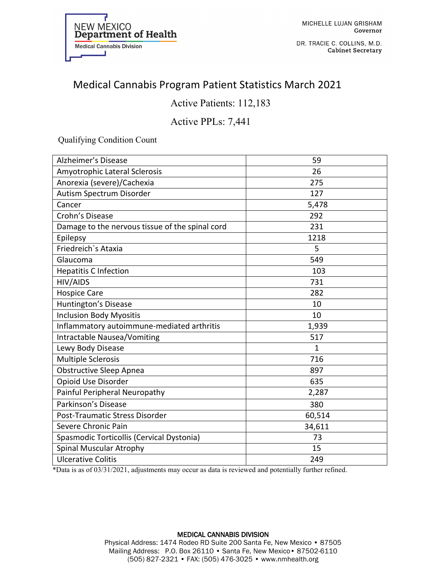

DR. TRACIE C. COLLINS, M.D. **Cabinet Secretary** 

## Medical Cannabis Program Patient Statistics March 2021

### Active Patients: 112,183

#### Active PPLs: 7,441

Qualifying Condition Count

| <b>Alzheimer's Disease</b>                      | 59           |
|-------------------------------------------------|--------------|
| Amyotrophic Lateral Sclerosis                   | 26           |
| Anorexia (severe)/Cachexia                      | 275          |
| Autism Spectrum Disorder                        | 127          |
| Cancer                                          | 5,478        |
| Crohn's Disease                                 | 292          |
| Damage to the nervous tissue of the spinal cord | 231          |
| Epilepsy                                        | 1218         |
| Friedreich's Ataxia                             | 5            |
| Glaucoma                                        | 549          |
| <b>Hepatitis C Infection</b>                    | 103          |
| HIV/AIDS                                        | 731          |
| <b>Hospice Care</b>                             | 282          |
| Huntington's Disease                            | 10           |
| <b>Inclusion Body Myositis</b>                  | 10           |
| Inflammatory autoimmune-mediated arthritis      | 1,939        |
| Intractable Nausea/Vomiting                     | 517          |
| Lewy Body Disease                               | $\mathbf{1}$ |
| <b>Multiple Sclerosis</b>                       | 716          |
| <b>Obstructive Sleep Apnea</b>                  | 897          |
| Opioid Use Disorder                             | 635          |
| Painful Peripheral Neuropathy                   | 2,287        |
| Parkinson's Disease                             | 380          |
| Post-Traumatic Stress Disorder                  | 60,514       |
| Severe Chronic Pain                             | 34,611       |
| Spasmodic Torticollis (Cervical Dystonia)       | 73           |
| Spinal Muscular Atrophy                         | 15           |
| <b>Ulcerative Colitis</b>                       | 249          |

\*Data is as of 03/31/2021, adjustments may occur as data is reviewed and potentially further refined.

## MEDICAL CANNABIS DIVISION

Physical Address: 1474 Rodeo RD Suite 200 Santa Fe, New Mexico • 87505 Mailing Address: P.O. Box 26110 • Santa Fe, New Mexico• 87502-6110 (505) 827-2321 • FAX: (505) 476-3025 • www.nmhealth.org